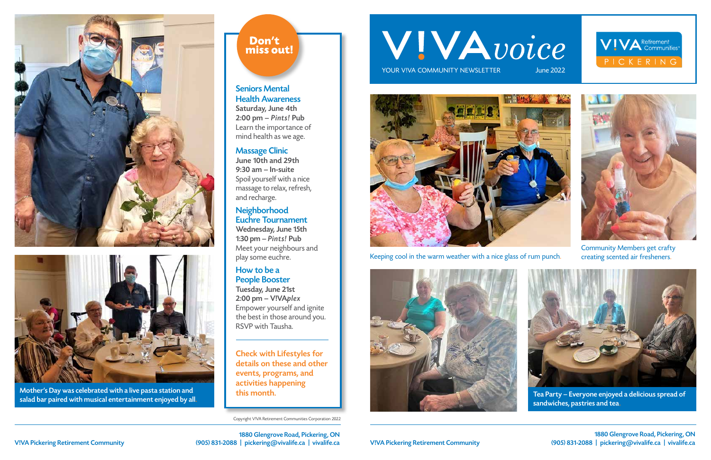Copyright V!VA Retirement Communities Corporation 2022

# WIVAvoice

YOUR VIVA COMMUNITY NEWSLETTER

## Seniors Mental Health Awareness

Saturday, June 4th 2:00 pm – Pints! Pub Learn the importance of mind health as we age.

#### Massage Clinic

June 10th and 29th 9:30 am – In-suite Spoil yourself with a nice massage to relax, refresh, and recharge.

### Neighborhood Euchre Tournament

Wednesday, June 15th 1:30 pm – Pints! Pub Meet your neighbours and play some euchre.

#### How to be a People Booster

Tuesday, June 21st 2:00 pm – V!VAplex Empower yourself and ignite the best in those around you. RSVP with Tausha.





Mother's Day was celebrated with a live pasta station and his month. salad bar paired with musical entertainment enjoyed by all.

## Don't miss out!

1880 Glengrove Road, Pickering, ON V!VA Pickering Retirement Community (905) 831-2088 | pickering@vivalife.ca | vivalife.ca

1880 Glengrove Road, Pickering, ON V!VA Pickering Retirement Community (905) 831-2088 | pickering@vivalife.ca | vivalife.ca





Check with Lifestyles for details on these and other events, programs, and activities happening



Keeping cool in the warm weather with a nice glass of rum punch.





Community Members get crafty creating scented air fresheners.



Tea Party – Everyone enjoyed a delicious spread of sandwiches, pastries and tea.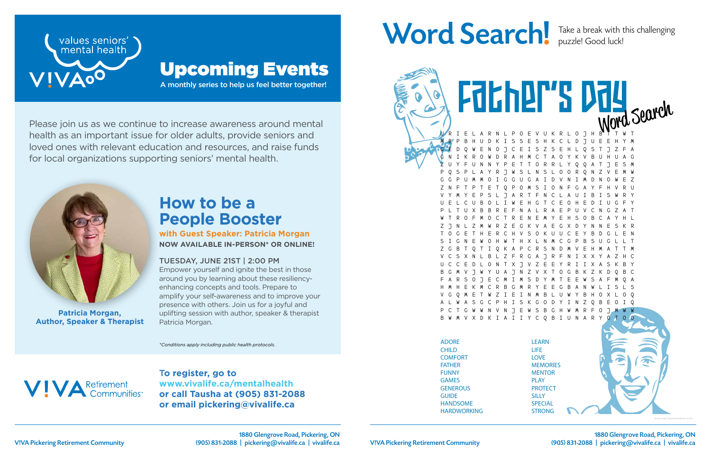

T**o register, go to www.vivalife.ca/mentalhealth or call Tausha at (905) 831-2088 or email pickering@vivalife.ca**

## Word Search! Take a break with this challenging



Please join us as we continue to increase awareness around mental health as an important issue for older adults, provide seniors and loved ones with relevant education and resources, and raise funds for local organizations supporting seniors' mental health.

A monthly series to help us feel better together!



## Upcoming Events

*\*Conditions apply including public health protocols.*



## **How to be a People Booster**

**with Guest Speaker: Patricia Morgan NOW AVAILABLE IN-PERSON\* OR ONLINE!**

#### TUESDAY, JUNE 21ST | 2:00 PM

Empower yourself and ignite the best in those around you by learning about these resiliencyenhancing concepts and tools. Prepare to amplify your self-awareness and to improve your presence with others. Join us for a joyful and uplifting session with author, speaker & therapist Patricia Morgan.



**Patricia Morgan, Author, Speaker & Therapist**

puzzle! Good luck!

E V U K R L O J H M B P B H U D K I S S E S H K C L D J U E E H Y M G E D Q W E N O J C E I S Z S E H L Q S T J Z F A G N I K R O W D R A H M C T A O Y K V B U H U A G Z U Y F U N N Y P E T T O R R L Y Q Q A T J E S M P Q S P L A Y R J W S L N S L O O R Q N Z V E M W G G P U M M O I G G U G A I D V N I M D N O W E Z Z N F T P T E T Q P O M S I O N F G A Y F H V R U V Y M Y E P S L J A R T F N C L A U I B I S W R Y U E L C U B O L I W E H G T C E O H E D I U G F Y P L T U X B B R E F N A L R A E P U V C N G Z A T W T R O F M O C T R E N E M Y E H S O B C A Y H L Z J N L Z M W R Z E G K V A E G X D Y N N E S K R T O G E T H E R C H V S O K U U C E Y B D G L E N S I G N E W O H W T H X L N M C G P B S U G L L T A P C R S N V C S X N L B L Z F R G A J R F N I X X Y A Z H C U C C E D L O N T X J V Z E E Y R I I X A S K B Y 8 7 N 7 V X T F A R S O J E C M I M S D Y M T E E W S A F M Q A H M H E K M C R B G M R Y E E G B A N W L I S L S V G Q M E T W Z I E I N M B L U W Y B H O X L O Q S K G O D Y I N Z N V N J E W S B G H W M R F V X D K I A I I Y C Q B I U N A R Father's Day

ADORE CHILD **COMFORT** FATHER FUNNY GAMES **GENEROUS GUIDE** HANDSOME HARDWORKING

Husband (1989)

LEARN LIFE LOVE **MEMORIES MENTOR** PLAY **PROTECT SILLY SPECIAL** STRONG

SWEET

*www.saynotsweetanne.com*

V!VA Pickering Retirement Community **Community** (905) 831-2088 | pickering@vivalife.ca | vivalife.ca | V!VA Pickering Retirement Community (905) 831-2088 | pickering@vivalife.ca | vivalife.ca 1880 Glengrove Road, Pickering, ON (905) 831-2088 | pickering@vivalife.ca | vivalife.ca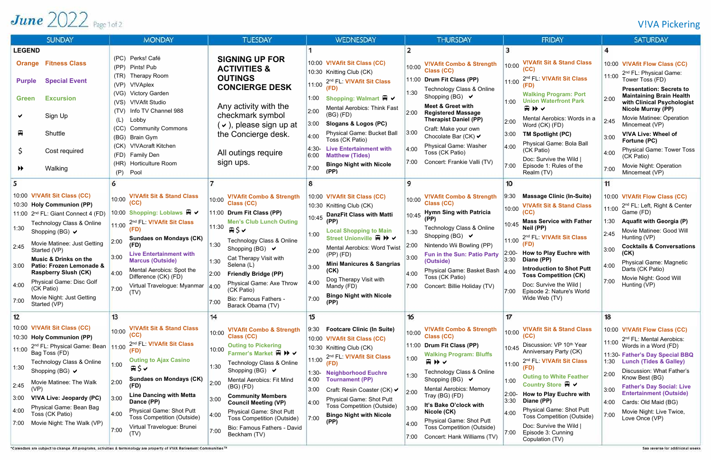## V!VA Pickering

## June  $2022$  Page 1 of 2

| <b>SUNDAY</b>                                                                                                                                                                                                                                                                                                                                                                                                                                                       | <b>MONDAY</b>                                                                                                                                                                                                                                                                                                                                                                            | <b>TUESDAY</b>                                                                                                                                                                                                                                                                                                                                                                                                                                                     | <b>WEDNESDAY</b>                                                                                                                                                                                                                                                                                                                                                                                      | <b>THURSDAY</b>                                                                                                                                                                                                                                                                                                                                                                                                                         | <b>FRIDAY</b>                                                                                                                                                                                                                                                                                                                                                                                                                                         | <b>SATURDAY</b>                                                                                                                                                                                                                                                                                                                                                                                                          |
|---------------------------------------------------------------------------------------------------------------------------------------------------------------------------------------------------------------------------------------------------------------------------------------------------------------------------------------------------------------------------------------------------------------------------------------------------------------------|------------------------------------------------------------------------------------------------------------------------------------------------------------------------------------------------------------------------------------------------------------------------------------------------------------------------------------------------------------------------------------------|--------------------------------------------------------------------------------------------------------------------------------------------------------------------------------------------------------------------------------------------------------------------------------------------------------------------------------------------------------------------------------------------------------------------------------------------------------------------|-------------------------------------------------------------------------------------------------------------------------------------------------------------------------------------------------------------------------------------------------------------------------------------------------------------------------------------------------------------------------------------------------------|-----------------------------------------------------------------------------------------------------------------------------------------------------------------------------------------------------------------------------------------------------------------------------------------------------------------------------------------------------------------------------------------------------------------------------------------|-------------------------------------------------------------------------------------------------------------------------------------------------------------------------------------------------------------------------------------------------------------------------------------------------------------------------------------------------------------------------------------------------------------------------------------------------------|--------------------------------------------------------------------------------------------------------------------------------------------------------------------------------------------------------------------------------------------------------------------------------------------------------------------------------------------------------------------------------------------------------------------------|
| <b>LEGEND</b>                                                                                                                                                                                                                                                                                                                                                                                                                                                       |                                                                                                                                                                                                                                                                                                                                                                                          |                                                                                                                                                                                                                                                                                                                                                                                                                                                                    |                                                                                                                                                                                                                                                                                                                                                                                                       |                                                                                                                                                                                                                                                                                                                                                                                                                                         |                                                                                                                                                                                                                                                                                                                                                                                                                                                       |                                                                                                                                                                                                                                                                                                                                                                                                                          |
| <b>Fitness Class</b><br><b>Orange</b><br><b>Special Event</b><br><b>Purple</b>                                                                                                                                                                                                                                                                                                                                                                                      | (PC) Perks! Café<br>(PP)<br>Pints! Pub<br>Therapy Room<br>(TR)<br>V!VAplex<br>(VP)                                                                                                                                                                                                                                                                                                       | <b>SIGNING UP FOR</b><br><b>ACTIVITIES &amp;</b><br><b>OUTINGS</b>                                                                                                                                                                                                                                                                                                                                                                                                 | 10:00 V!VAfit Sit Class (CC)<br>10:30 Knitting Club (CK)<br>2nd FL: V!VAfit Sit Class<br>11:00                                                                                                                                                                                                                                                                                                        | <b>V!VAfit Combo &amp; Strength</b><br>10:00<br>Class (CC)<br>11:00 Drum Fit Class (PP)                                                                                                                                                                                                                                                                                                                                                 | <b>V!VAfit Sit &amp; Stand Class</b><br>10:00<br>2nd FL: V!VAfit Sit Class<br>11:00                                                                                                                                                                                                                                                                                                                                                                   | 10:00 V!VAfit Flow Class (CC)<br>2 <sup>nd</sup> FL: Physical Game:<br>11:00<br>Tower Toss (FD)                                                                                                                                                                                                                                                                                                                          |
| <b>Excursion</b><br><b>Green</b><br>Sign Up<br>₽<br>Shuttle<br>Cost required                                                                                                                                                                                                                                                                                                                                                                                        | (VG) Victory Garden<br>V!VAfit Studio<br>(VS)<br>Info TV Channel 988<br>(TV)<br>Lobby<br>(L)<br><b>Community Commons</b><br>(CC)<br>(BG) Brain Gym<br>(CK) V!VAcraft Kitchen<br>(FD) Family Den                                                                                                                                                                                          | <b>CONCIERGE DESK</b><br>Any activity with the<br>checkmark symbol<br>$\vee$ ), please sign up at<br>the Concierge desk.<br>All outings require                                                                                                                                                                                                                                                                                                                    | (FD)<br>Shopping: Walmart A V<br>1:00<br><b>Mental Aerobics: Think Fast</b><br>2:00<br>$(BG)$ $(FD)$<br>3:00<br>Slogans & Logos (PC)<br>Physical Game: Bucket Ball<br>4:00<br>Toss (CK Patio)<br><b>Live Entertainment with</b><br>4:30-<br>6:00<br><b>Matthew (Tides)</b>                                                                                                                            | Technology Class & Online<br>1:30<br>Shopping (BG) $\vee$<br><b>Meet &amp; Greet with</b><br>2:00<br><b>Registered Massage</b><br><b>Therapist Daniel (PP)</b><br>Craft: Make your own<br>3:00<br>Chocolate Bar (CK) $\vee$<br>Physical Game: Washer<br>4:00<br>Toss (CK Patio)<br>Concert: Frankie Valli (TV)                                                                                                                          | <b>Walking Program: Port</b><br><b>Union Waterfront Park</b><br>1:00<br>田井へ<br>Mental Aerobics: Words in a<br>2:00<br>Word (CK) (FD)<br>3:00<br><b>TM Spotlight (PC)</b><br>Physical Game: Bola Ball<br>4:00<br>(CK Patio)<br>Doc: Survive the Wild                                                                                                                                                                                                   | <b>Presentation: Secrets to</b><br><b>Maintaining Brain Health</b><br>2:00<br>with Clinical Psychologist<br><b>Nicole Murray (PP)</b><br>Movie Matinee: Operation<br>2:45<br>Mincemeat (VP)<br>V!VA Live: Wheel of<br>3:00<br>Fortune (PC)<br><b>Physical Game: Tower Toss</b><br>4:00<br>(CK Patio)                                                                                                                     |
| Walking<br>$\blacktriangleright$                                                                                                                                                                                                                                                                                                                                                                                                                                    | (HR)<br><b>Horticulture Room</b><br>Pool<br>(P)                                                                                                                                                                                                                                                                                                                                          | sign ups.                                                                                                                                                                                                                                                                                                                                                                                                                                                          | <b>Bingo Night with Nicole</b><br>7:00<br>(PP)                                                                                                                                                                                                                                                                                                                                                        |                                                                                                                                                                                                                                                                                                                                                                                                                                         | 7:00<br>Episode 1: Rules of the<br>Realm (TV)                                                                                                                                                                                                                                                                                                                                                                                                         | Movie Night: Operation<br>7:00<br>Mincemeat (VP)                                                                                                                                                                                                                                                                                                                                                                         |
| 10:00 V!VAfit Sit Class (CC)<br>10:30 Holy Communion (PP)<br>11:00 2 <sup>nd</sup> FL: Giant Connect 4 (FD)<br>Technology Class & Online<br>1:30<br>Shopping (BG) $\blacktriangleright$<br>Movie Matinee: Just Getting<br>2:45<br>Started (VP)<br><b>Music &amp; Drinks on the</b><br>Patio: Frozen Lemonade &<br>3:00<br><b>Raspberry Slush (CK)</b><br><b>Physical Game: Disc Golf</b><br>4:00<br>(CK Patio)<br>Movie Night: Just Getting<br>7:00<br>Started (VP) | <b>V!VAfit Sit &amp; Stand Class</b><br>10:00<br>(CC)<br>10:00 Shopping: Loblaws 日 V<br>2nd FL: V!VAfit Sit Class<br>11:00<br><b>Sundaes on Mondays (CK)</b><br>2:00<br>(FD)<br><b>Live Entertainment with</b><br>3:00<br><b>Marcus (Outside)</b><br>Mental Aerobics: Spot the<br>4:00<br>Difference (CK) (FD)<br>Virtual Travelogue: Myanmar $ 4:00$<br>7:00<br>(TV)                    | <b>V!VAfit Combo &amp; Strength</b><br>10:00<br><b>Class (CC)</b><br>11:00 Drum Fit Class (PP)<br><b>Men's Club Lunch Outing</b><br>11:30<br>$\boxplus$ \$ $\checkmark$<br>Technology Class & Online<br>1:30<br>Shopping (BG) $\vee$<br>Cat Therapy Visit with<br>1:30<br>Selena (L)<br>2:00<br><b>Friendly Bridge (PP)</b><br>Physical Game: Axe Throw<br>(CK Patio)<br>Bio: Famous Fathers -<br>7:00<br>Barack Obama (TV)                                        | 10:00 V!VAfit Sit Class (CC)<br>10:30 Knitting Club (CK)<br><b>DanzFit Class with Matti</b><br>10:45<br>(PP<br><b>Local Shopping to Main</b><br>1:00<br>Street Unionville A III V<br>Mental Aerobics: Word Twist<br>2:00<br>$(PP)$ $(FD)$<br><b>Mini Manicures &amp; Sangrias</b><br>3:00<br>(CK)<br>Dog Therapy Visit with<br>4:00<br>Mandy (FD)<br><b>Bingo Night with Nicole</b><br>7:00           | <b>V!VAfit Combo &amp; Strength</b><br>10:00<br>Class (CC)<br><b>Hymn Sing with Patricia</b><br>10:45<br>(PP)<br>Technology Class & Online<br>1:30<br>Shopping (BG) $\vee$<br>Nintendo Wii Bowling (PP)<br>2:00<br><b>Fun in the Sun: Patio Party</b><br>3:00<br>(Outside)<br>Physical Game: Basket Bash 4:00<br>4:00<br>Toss (CK Patio)<br>Concert: Billie Holiday (TV)<br>7:00                                                        | 10<br><b>Massage Clinic (In-Suite)</b><br>9:30<br><b>V!VAfit Sit &amp; Stand Class</b><br>10:00<br>(CC)<br><b>Mass Service with Father</b><br>10:45<br>Neil (PP)<br>2nd FL: V!VAfit Sit Class<br>11:00<br>How to Play Euchre with<br>$2:00-$<br>3:30<br>Diane (PP)<br><b>Introduction to Shot Putt</b><br><b>Toss Competition (CK)</b><br>Doc: Survive the Wild  <br>Episode 2: Nature's World<br>7:00<br>Wide Web (TV)                               | 11<br>10:00 V!VAfit Flow Class (CC)<br>2 <sup>nd</sup> FL: Left, Right & Center<br>11:00<br>Game (FD)<br><b>Aquafit with Georgia (P)</b><br>1:30<br>Movie Matinee: Good Will<br>2:45<br>Hunting (VP)<br><b>Cocktails &amp; Conversations</b><br>3:00<br>(CK)<br>Physical Game: Magnetic<br>4:00<br>Darts (CK Patio)<br>Movie Night: Good Will<br>7:00<br>Hunting (VP)                                                    |
| 12<br>10:00 V!VAfit Sit Class (CC)<br>10:30 Holy Communion (PP)<br>2 <sup>nd</sup> FL: Physical Game: Bean 11:00<br>11:00<br>Bag Toss (FD)<br>Technology Class & Online<br>1:30<br>Shopping (BG) $\vee$<br>Movie Matinee: The Walk<br>2:45<br>(VP<br>VIVA Live: Jeopardy (PC)<br>3:00<br>Physical Game: Bean Bag<br> 4:00<br>Toss (CK Patio)<br>Movie Night: The Walk (VP)<br>7:00                                                                                  | 13<br><b>V!VAfit Sit &amp; Stand Class</b><br>10:00<br>(CC)<br>2nd FL: V!VAfit Sit Class<br>(FD)<br><b>Outing to Ajax Casino</b><br>1:00<br>⊞\$✔<br><b>Sundaes on Mondays (CK)</b><br>2:00<br>(FD)<br><b>Line Dancing with Metta</b><br>3:00<br>Dance (PP)<br><b>Physical Game: Shot Putt</b><br>4:00<br><b>Toss Competition (Outside)</b><br>Virtual Travelogue: Brunei<br>7:00<br>(TV) | 14<br><b>V!VAfit Combo &amp; Strength</b><br>10:00<br><b>Class (CC)</b><br><b>Outing to Pickering</b><br>10:00<br>Farmer's Market A > √<br>Technology Class & Online<br>1:30<br>Shopping (BG) $\vee$<br>Mental Aerobics: Fit Mind<br>2:00<br>$(BG)$ (FD)<br><b>Community Members</b><br>3:00<br><b>Council Meeting (VP)</b><br><b>Physical Game: Shot Putt</b><br>4:00<br><b>Toss Competition (Outside)</b><br>Bio: Famous Fathers - David<br>7:00<br>Beckham (TV) | 15<br><b>Footcare Clinic (In Suite)</b><br>9:30<br>10:00 V!VAfit Sit Class (CC)<br>10:30 Knitting Club (CK)<br>2nd FL: V!VAfit Sit Class<br>11:00<br>(FD)<br><b>Neighborhood Euchre</b><br>1:30-<br>4:00<br><b>Tournament (PP)</b><br>3:00<br>Craft: Resin Coaster (CK) V<br>Physical Game: Shot Putt<br>4:00<br><b>Toss Competition (Outside)</b><br><b>Bingo Night with Nicole</b><br> 7:00<br>(PP) | 16<br><b>V!VAfit Combo &amp; Strength</b><br>10:00<br>Class (CC)<br>11:00 Drum Fit Class (PP)<br><b>Walking Program: Bluffs</b><br>1:00<br>田りく<br>Technology Class & Online<br>1:30<br>Shopping (BG) $\vee$<br><b>Mental Aerobics: Memory</b><br>2:00<br>Tray (BG) (FD)<br>It's Bake O'clock with<br>3:00<br>Nicole (CK)<br><b>Physical Game: Shot Putt</b><br>4:00<br><b>Toss Competition (Outside)</b><br>Concert: Hank Williams (TV) | 17<br><b>V!VAfit Sit &amp; Stand Class</b><br>10:00<br>(CC)<br>Discussion: VP 10th Year<br>10:45<br>Anniversary Party (CK)<br>2nd FL: V!VAfit Sit Class<br>11:00<br><b>Outing to White Feather</b><br>1:00<br>Country Store B V<br>How to Play Euchre with<br>2:00-<br>3:30<br>Diane (PP)<br><b>Physical Game: Shot Putt</b><br>4:00<br><b>Toss Competition (Outside)</b><br>Doc: Survive the Wild  <br>7:00<br>Episode 3: Cunning<br>Copulation (TV) | 18<br>10:00 V!VAfit Flow Class (CC)<br>2 <sup>nd</sup> FL: Mental Aerobics:<br>11:00<br>Words in a Word (FD)<br>11:30- Father's Day Special BBQ<br><b>Lunch (Tides &amp; Galley)</b><br>1:30<br>Discussion: What Father's<br>2:00<br>Know Best (BG)<br><b>Father's Day Social: Live</b><br>3:00<br><b>Entertainment (Outside)</b><br>Cards: Old Maid (BG)<br>4:00<br>Movie Night: Live Twice,<br> 7:00<br>Love Once (VP) |

\*Calendars are subject to change. All programs, activities & terminology are property of VIVA Retirement Communities<sup>16</sup>